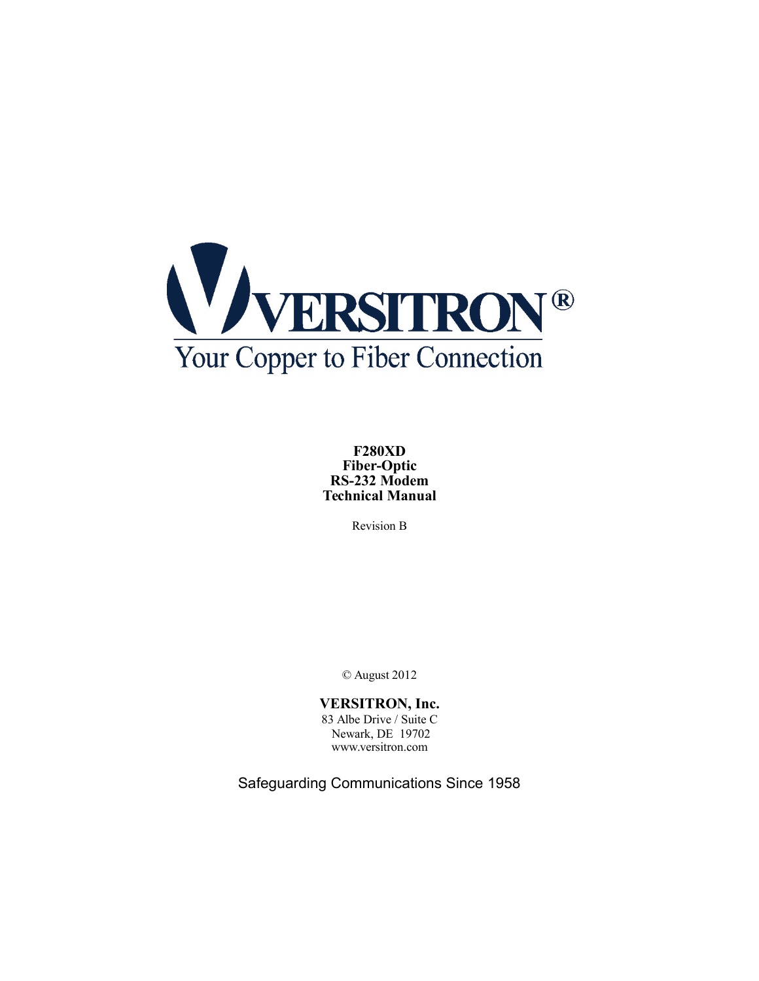

**F280XD Fiber-Optic RS-232 Modem Technical Manual**

Revision B

© August 2012

# **VERSITRON, Inc.**

83 Albe Drive / Suite C Newark, DE 19702 www.versitron.com

Safeguarding Communications Since 1958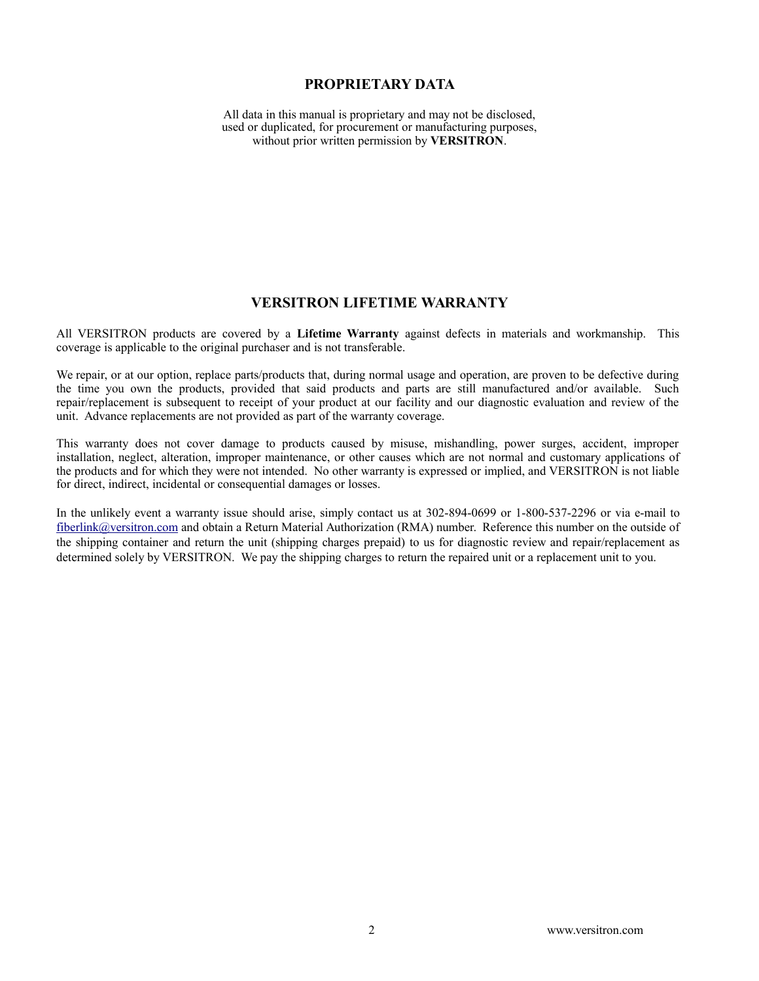#### **PROPRIETARY DATA**

All data in this manual is proprietary and may not be disclosed, used or duplicated, for procurement or manufacturing purposes, without prior written permission by **VERSITRON**.

#### **VERSITRON LIFETIME WARRANTY**

All VERSITRON products are covered by a **Lifetime Warranty** against defects in materials and workmanship. This coverage is applicable to the original purchaser and is not transferable.

We repair, or at our option, replace parts/products that, during normal usage and operation, are proven to be defective during the time you own the products, provided that said products and parts are still manufactured and/or available. Such repair/replacement is subsequent to receipt of your product at our facility and our diagnostic evaluation and review of the unit. Advance replacements are not provided as part of the warranty coverage.

This warranty does not cover damage to products caused by misuse, mishandling, power surges, accident, improper installation, neglect, alteration, improper maintenance, or other causes which are not normal and customary applications of the products and for which they were not intended. No other warranty is expressed or implied, and VERSITRON is not liable for direct, indirect, incidental or consequential damages or losses.

In the unlikely event a warranty issue should arise, simply contact us at 302-894-0699 or 1-800-537-2296 or via e-mail to [fiberlink@versitron.com](mailto:fiberlink@versitron.com) and obtain a Return Material Authorization (RMA) number. Reference this number on the outside of the shipping container and return the unit (shipping charges prepaid) to us for diagnostic review and repair/replacement as determined solely by VERSITRON. We pay the shipping charges to return the repaired unit or a replacement unit to you.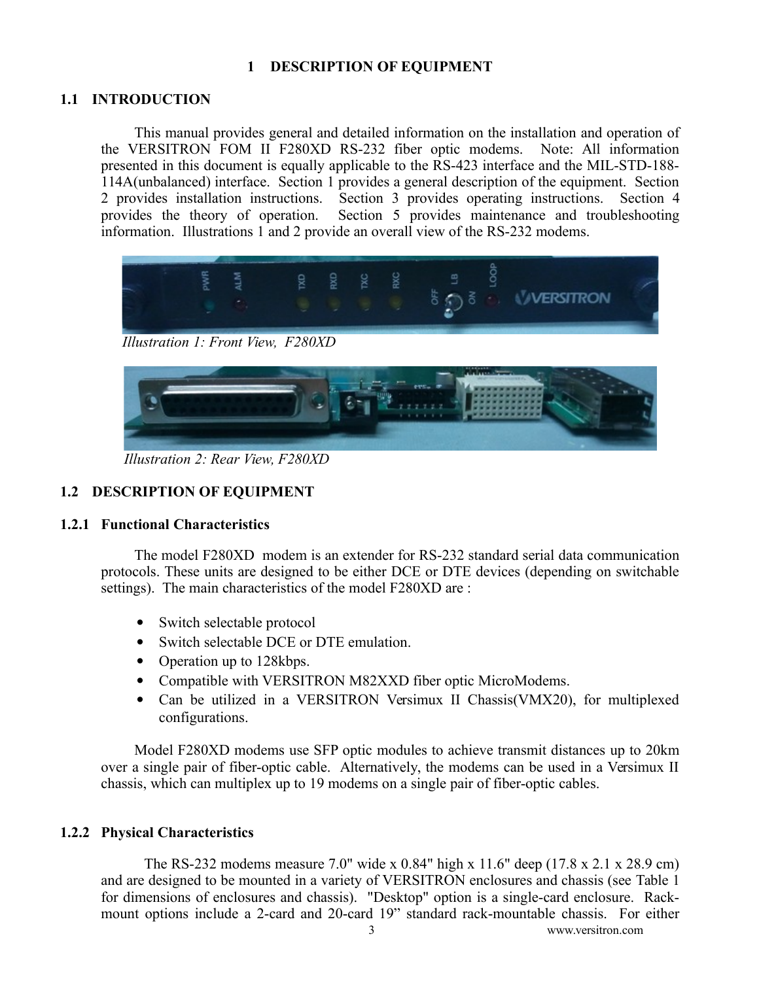# <span id="page-2-0"></span> **1 DESCRIPTION OF EQUIPMENT**

# **1.1 INTRODUCTION**

This manual provides general and detailed information on the installation and operation of the VERSITRON FOM II F280XD RS-232 fiber optic modems. Note: All information presented in this document is equally applicable to the RS-423 interface and the MIL-STD-188- 114A(unbalanced) interface. Section [1](#page-2-0) provides a general description of the equipment. Section [2](#page-5-0) provides installation instructions. Section [3](#page-11-0) provides operating instructions. Section [4](#page-12-0) provides the theory of operation. Section 5 provides maintenance and troubleshooting Section [5](#page-14-0) provides maintenance and troubleshooting. information. Illustrations [1](#page-2-2) and [2](#page-2-1) provide an overall view of the RS-232 modems.



*Illustration 1: Front View, F280XD*

<span id="page-2-2"></span><span id="page-2-1"></span>

*Illustration 2: Rear View, F280XD*

# **1.2 DESCRIPTION OF EQUIPMENT**

## **1.2.1 Functional Characteristics**

The model F280XD modem is an extender for RS-232 standard serial data communication protocols. These units are designed to be either DCE or DTE devices (depending on switchable settings). The main characteristics of the model F280XD are :

- Switch selectable protocol
- Switch selectable DCE or DTE emulation.
- Operation up to 128kbps.
- Compatible with VERSITRON M82XXD fiber optic MicroModems.
- Can be utilized in a VERSITRON Versimux II Chassis(VMX20), for multiplexed configurations.

Model F280XD modems use SFP optic modules to achieve transmit distances up to 20km over a single pair of fiber-optic cable. Alternatively, the modems can be used in a Versimux II chassis, which can multiplex up to 19 modems on a single pair of fiber-optic cables.

## **1.2.2 Physical Characteristics**

<span id="page-2-3"></span>The RS-232 modems measure 7.0" wide x 0.84" high x 11.6" deep (17.8 x 2.1 x 28.9 cm) and are designed to be mounted in a variety of VERSITRON enclosures and chassis (see [Table 1](#page-3-0) for dimensions of enclosures and chassis). "Desktop" option is a single-card enclosure. Rackmount options include a 2-card and 20-card 19" standard rack-mountable chassis. For either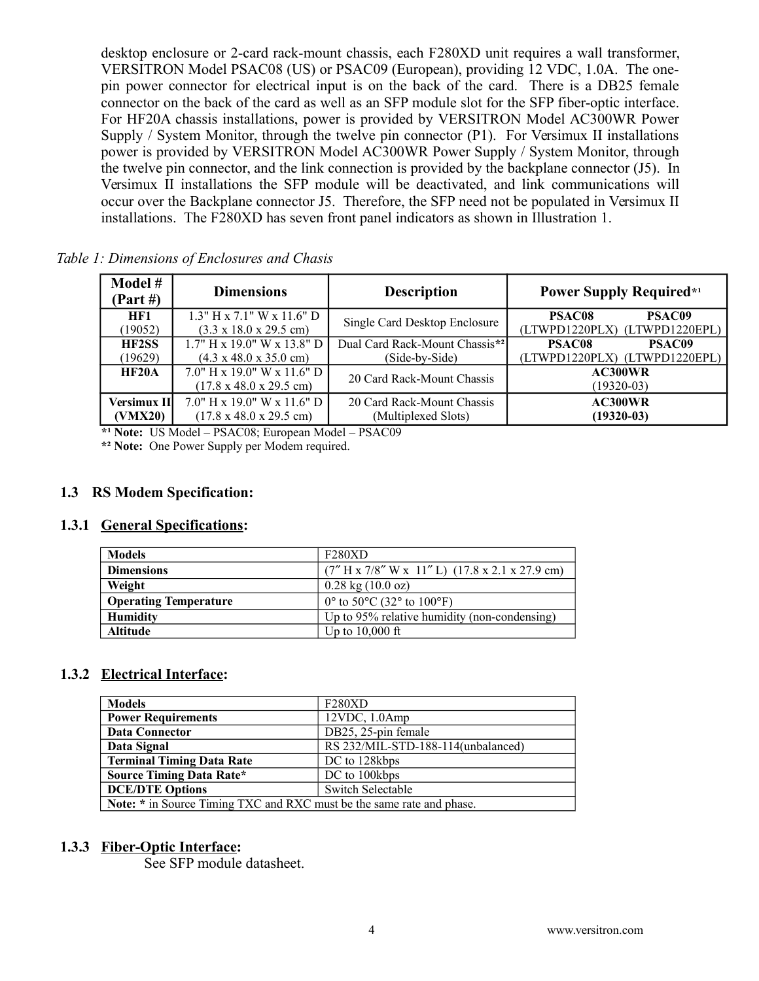desktop enclosure or 2-card rack-mount chassis, each F280XD unit requires a wall transformer, VERSITRON Model PSAC08 (US) or PSAC09 (European), providing 12 VDC, 1.0A. The onepin power connector for electrical input is on the back of the card. There is a DB25 female connector on the back of the card as well as an SFP module slot for the SFP fiber-optic interface. For HF20A chassis installations, power is provided by VERSITRON Model AC300WR Power Supply / System Monitor, through the twelve pin connector (P1). For Versimux II installations power is provided by VERSITRON Model AC300WR Power Supply / System Monitor, through the twelve pin connector, and the link connection is provided by the backplane connector (J5). In Versimux II installations the SFP module will be deactivated, and link communications will occur over the Backplane connector J5. Therefore, the SFP need not be populated in Versimux II installations. The F280XD has seven front panel indicators as shown in [Illustration 1.](#page-2-2)

<span id="page-3-0"></span>

| 1. Dimensions of Enclosures and Chasts |                                                                              |                                                   |                                                          |  |
|----------------------------------------|------------------------------------------------------------------------------|---------------------------------------------------|----------------------------------------------------------|--|
| Model #<br>(Part H)                    | <b>Dimensions</b>                                                            | <b>Description</b>                                | <b>Power Supply Required*1</b>                           |  |
| HF1<br>(19052)                         | $1.3"$ H x 7.1" W x 11.6" D<br>$(3.3 \times 18.0 \times 29.5 \text{ cm})$    | Single Card Desktop Enclosure                     | PSAC09<br><b>PSAC08</b><br>(LTWPD1220PLX) (LTWPD1220EPL) |  |
| <b>HF2SS</b><br>(19629)                | $1.7"$ H x 19.0" W x 13.8" D<br>$(4.3 \times 48.0 \times 35.0 \text{ cm})$   | Dual Card Rack-Mount Chassis*2<br>(Side-by-Side)  | PSAC09<br>PSAC08<br>(LTWPD1220PLX) (LTWPD1220EPL)        |  |
| HF20A                                  | $7.0$ " H x 19.0" W x 11.6" D<br>$(17.8 \times 48.0 \times 29.5 \text{ cm})$ | 20 Card Rack-Mount Chassis                        | AC300WR<br>$(19320-03)$                                  |  |
| <b>Versimux III</b><br>(VMX20)         | $7.0$ " H x 19.0" W x 11.6" D<br>$(17.8 \times 48.0 \times 29.5 \text{ cm})$ | 20 Card Rack-Mount Chassis<br>(Multiplexed Slots) | AC300WR<br>$(19320 - 03)$                                |  |

*Table 1: Dimensions of Enclosures and Chasis*

**\*¹ Note:** US Model – PSAC08; European Model – PSAC09

**\*² Note:** One Power Supply per Modem required.

## **1.3 RS Modem Specification:**

## **1.3.1 General Specifications:**

| <b>Models</b>                | F280XD                                                             |
|------------------------------|--------------------------------------------------------------------|
| <b>Dimensions</b>            | $(7''$ H x 7/8" W x 11" L) $(17.8 \times 2.1 \times 27.9$ cm)      |
| Weight                       | $0.28 \text{ kg} (10.0 \text{ oz})$                                |
| <b>Operating Temperature</b> | $0^{\circ}$ to 50 $^{\circ}$ C (32 $^{\circ}$ to 100 $^{\circ}$ F) |
| <b>Humidity</b>              | Up to 95% relative humidity (non-condensing)                       |
| <b>Altitude</b>              | Up to $10,000$ ft                                                  |

## **1.3.2 Electrical Interface:**

| <b>Models</b>                                                         | F <sub>280</sub> XD                |  |
|-----------------------------------------------------------------------|------------------------------------|--|
| <b>Power Requirements</b>                                             | $12VDC$ , $1.0Amp$                 |  |
| Data Connector                                                        | DB25, 25-pin female                |  |
| Data Signal                                                           | RS 232/MIL-STD-188-114(unbalanced) |  |
| <b>Terminal Timing Data Rate</b>                                      | DC to 128kbps                      |  |
| <b>Source Timing Data Rate*</b>                                       | DC to 100kbps                      |  |
| <b>DCE/DTE Options</b>                                                | <b>Switch Selectable</b>           |  |
| Note: * in Source Timing TXC and RXC must be the same rate and phase. |                                    |  |

#### **1.3.3 Fiber-Optic Interface:**

See SFP module datasheet.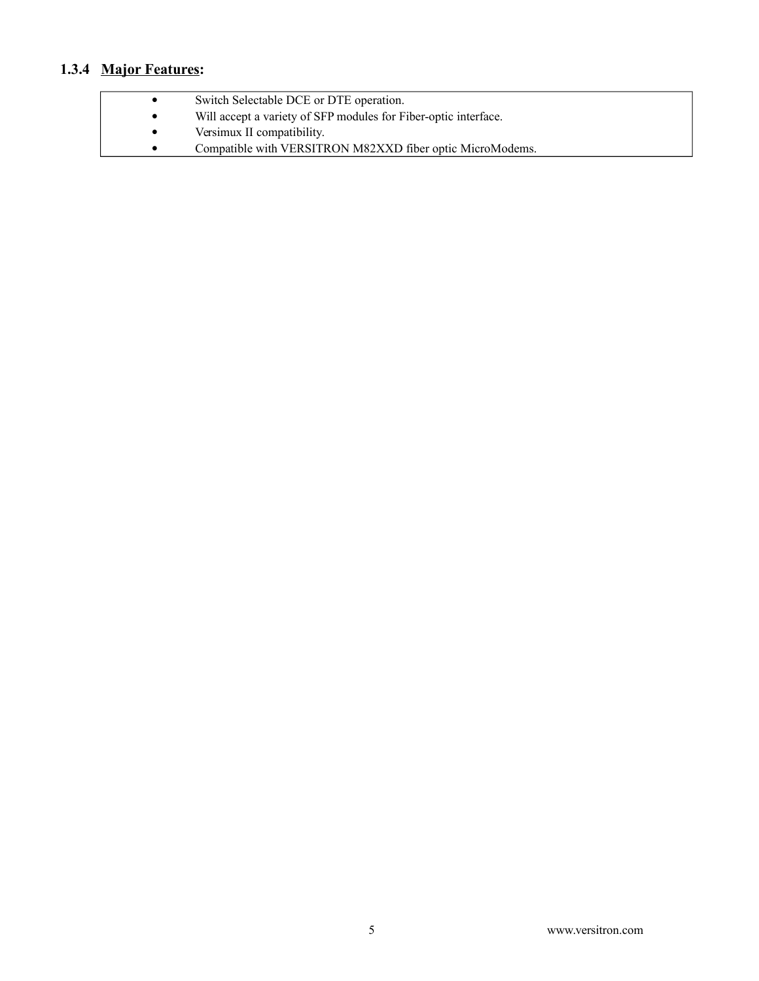# **1.3.4 Major Features:**

| $\bullet$ | Switch Selectable DCE or DTE operation.                         |
|-----------|-----------------------------------------------------------------|
| $\bullet$ | Will accept a variety of SFP modules for Fiber-optic interface. |
|           | Versimux II compatibility.                                      |
| $\bullet$ | Compatible with VERSITRON M82XXD fiber optic MicroModems.       |
|           |                                                                 |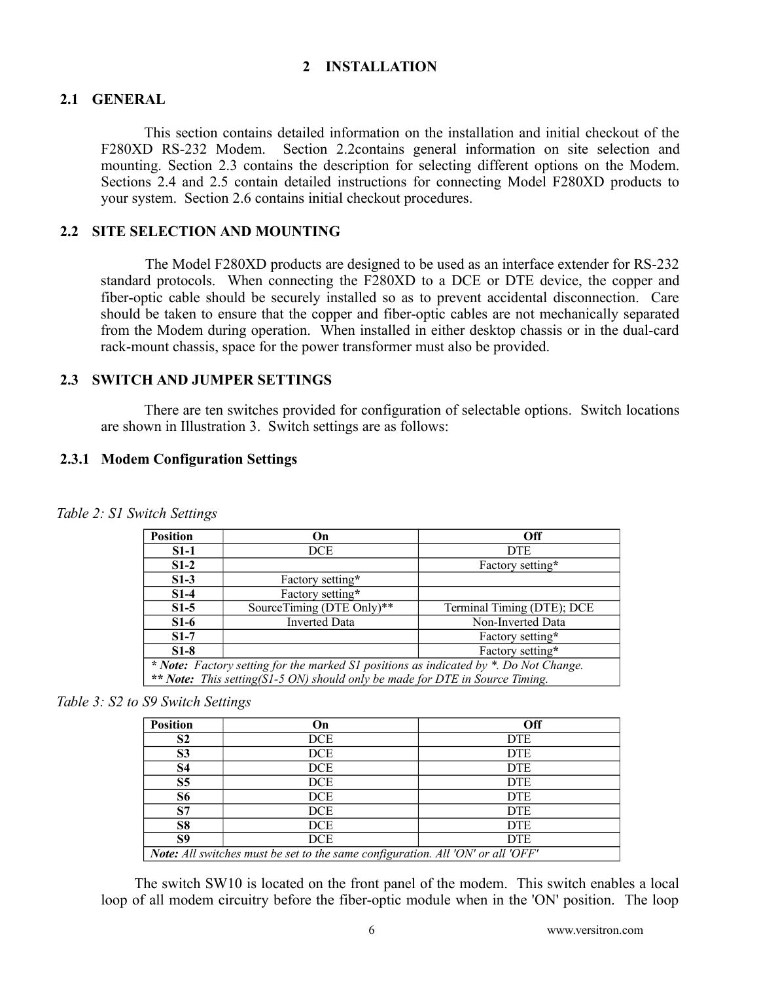# <span id="page-5-0"></span> **2 INSTALLATION**

## **2.1 GENERAL**

This section contains detailed information on the installation and initial checkout of the F280XD RS-232 Modem. Section [2.2c](#page-5-2)ontains general information on site selection and mounting. Section [2.3](#page-5-1) contains the description for selecting different options on the Modem. Sections [2.4](#page-6-1) and [2.5](#page-7-0) contain detailed instructions for connecting Model F280XD products to your system. Section [2.6](#page-10-0) contains initial checkout procedures.

## <span id="page-5-2"></span> **2.2 SITE SELECTION AND MOUNTING**

The Model F280XD products are designed to be used as an interface extender for RS-232 standard protocols. When connecting the F280XD to a DCE or DTE device, the copper and fiber-optic cable should be securely installed so as to prevent accidental disconnection. Care should be taken to ensure that the copper and fiber-optic cables are not mechanically separated from the Modem during operation. When installed in either desktop chassis or in the dual-card rack-mount chassis, space for the power transformer must also be provided.

#### <span id="page-5-1"></span> **2.3 SWITCH AND JUMPER SETTINGS**

There are ten switches provided for configuration of selectable options. Switch locations are shown in [Illustration 3.](#page-6-0) Switch settings are as follows:

## **2.3.1 Modem Configuration Settings**

| <b>Position</b>                                                                       | On.                       | Off                        |  |
|---------------------------------------------------------------------------------------|---------------------------|----------------------------|--|
| $S1-1$                                                                                | DCE                       | <b>DTE</b>                 |  |
| $S1-2$                                                                                |                           | Factory setting*           |  |
| $S1-3$                                                                                | Factory setting*          |                            |  |
| $S1-4$                                                                                | Factory setting*          |                            |  |
| $S1-5$                                                                                | SourceTiming (DTE Only)** | Terminal Timing (DTE); DCE |  |
| $S1-6$                                                                                | <b>Inverted Data</b>      | Non-Inverted Data          |  |
| $S1-7$                                                                                |                           | Factory setting*           |  |
| $S1-8$                                                                                |                           | Factory setting*           |  |
| * Note: Factory setting for the marked S1 positions as indicated by *. Do Not Change. |                           |                            |  |
| ** Note: This setting(S1-5 ON) should only be made for DTE in Source Timing.          |                           |                            |  |

*Table 2: S1 Switch Settings*

## *Table 3: S2 to S9 Switch Settings*

| <b>Position</b>                                                                        | On         | Off        |  |
|----------------------------------------------------------------------------------------|------------|------------|--|
| S <sub>2</sub>                                                                         | <b>DCE</b> | <b>DTE</b> |  |
| S <sub>3</sub>                                                                         | <b>DCE</b> | <b>DTE</b> |  |
| S4                                                                                     | <b>DCE</b> | <b>DTE</b> |  |
| S <sub>5</sub>                                                                         | <b>DCE</b> | <b>DTE</b> |  |
| S6                                                                                     | DCE        | <b>DTE</b> |  |
| S <sub>7</sub>                                                                         | <b>DCE</b> | <b>DTE</b> |  |
| S <sub>8</sub>                                                                         | <b>DCE</b> | <b>DTE</b> |  |
| S9                                                                                     | DCE        | <b>DTE</b> |  |
| <b>Note:</b> All switches must be set to the same configuration. All 'ON' or all 'OFF' |            |            |  |

The switch SW10 is located on the front panel of the modem. This switch enables a local loop of all modem circuitry before the fiber-optic module when in the 'ON' position. The loop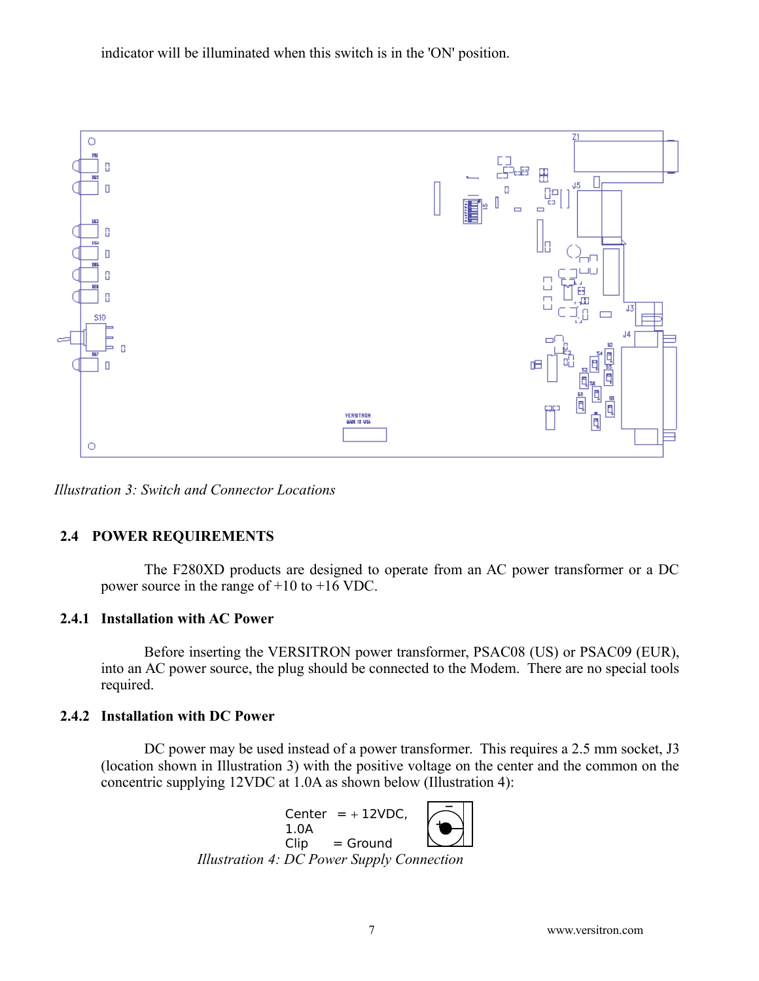indicator will be illuminated when this switch is in the 'ON' position.



<span id="page-6-0"></span>*Illustration 3: Switch and Connector Locations*

# <span id="page-6-1"></span> **2.4 POWER REQUIREMENTS**

The F280XD products are designed to operate from an AC power transformer or a DC power source in the range of +10 to +16 VDC.

# **2.4.1 Installation with AC Power**

Before inserting the VERSITRON power transformer, PSAC08 (US) or PSAC09 (EUR), into an AC power source, the plug should be connected to the Modem. There are no special tools required.

# **2.4.2 Installation with DC Power**

DC power may be used instead of a power transformer. This requires a 2.5 mm socket, J3 (location shown in [Illustration 3\)](#page-6-0) with the positive voltage on the center and the common on the concentric supplying 12VDC at 1.0A as shown below [\(Illustration 4\)](#page-6-2):

<span id="page-6-2"></span>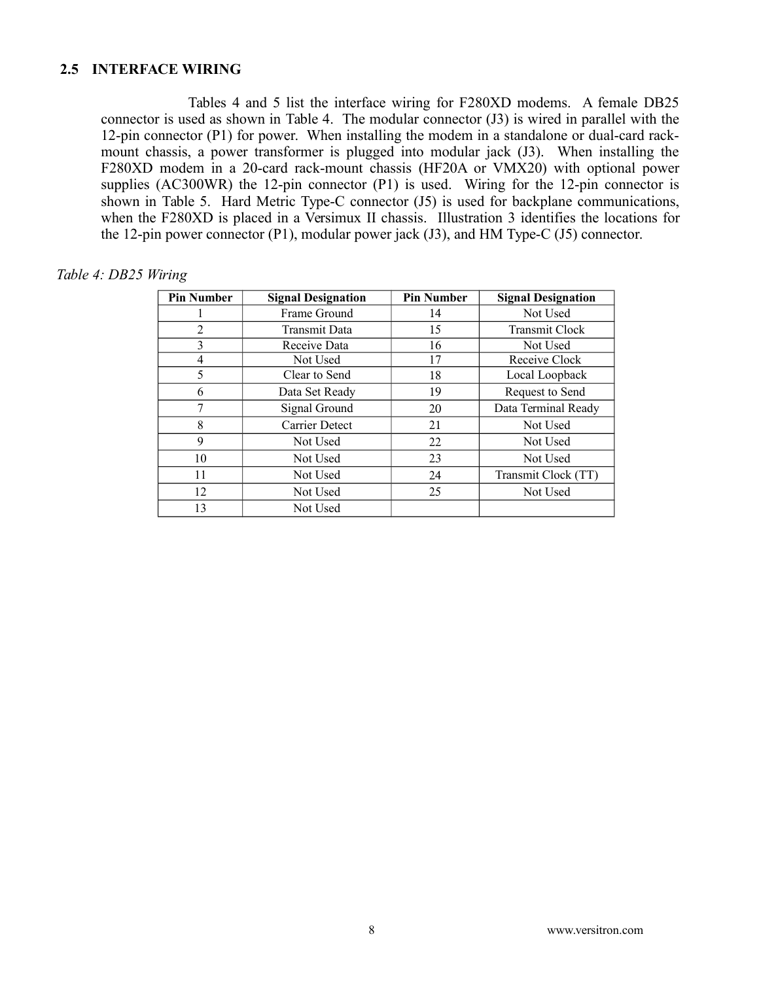## <span id="page-7-0"></span> **2.5 INTERFACE WIRING**

Tables [4](#page-7-1) and [5](#page-10-1) list the interface wiring for F280XD modems. A female DB25 connector is used as shown in [Table 4.](#page-7-1) The modular connector (J3) is wired in parallel with the 12-pin connector (P1) for power. When installing the modem in a standalone or dual-card rackmount chassis, a power transformer is plugged into modular jack (J3). When installing the F280XD modem in a 20-card rack-mount chassis (HF20A or VMX20) with optional power supplies (AC300WR) the 12-pin connector (P1) is used. Wiring for the 12-pin connector is shown in [Table 5.](#page-10-1) Hard Metric Type-C connector (J5) is used for backplane communications, when the F280XD is placed in a Versimux II chassis. [Illustration 3](#page-6-0) identifies the locations for the 12-pin power connector (P1), modular power jack (J3), and HM Type-C (J5) connector.

#### <span id="page-7-1"></span>*Table 4: DB25 Wiring*

| <b>Pin Number</b> | <b>Signal Designation</b> | <b>Pin Number</b> | <b>Signal Designation</b> |
|-------------------|---------------------------|-------------------|---------------------------|
|                   | Frame Ground              | 14                | Not Used                  |
| 2                 | <b>Transmit Data</b>      | 15                | <b>Transmit Clock</b>     |
| 3                 | Receive Data              | 16                | Not Used                  |
| 4                 | Not Used                  | 17                | Receive Clock             |
| 5                 | Clear to Send             | 18                | Local Loopback            |
| 6                 | Data Set Ready            | 19                | Request to Send           |
| 7                 | Signal Ground             | 20                | Data Terminal Ready       |
| 8                 | Carrier Detect            | 21                | Not Used                  |
| 9                 | Not Used                  | 22                | Not Used                  |
| 10                | Not Used                  | 23                | Not Used                  |
| 11                | Not Used                  | 24                | Transmit Clock (TT)       |
| 12                | Not Used                  | 25                | Not Used                  |
| 13                | Not Used                  |                   |                           |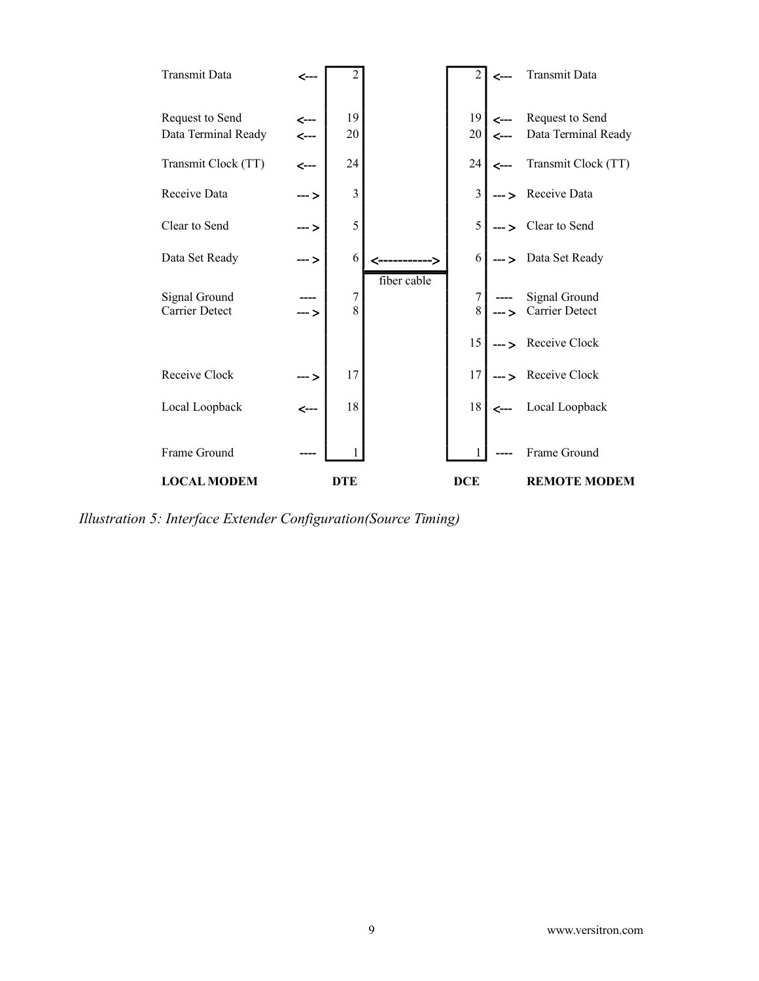

*Illustration 5: Interface Extender Configuration(Source Timing)*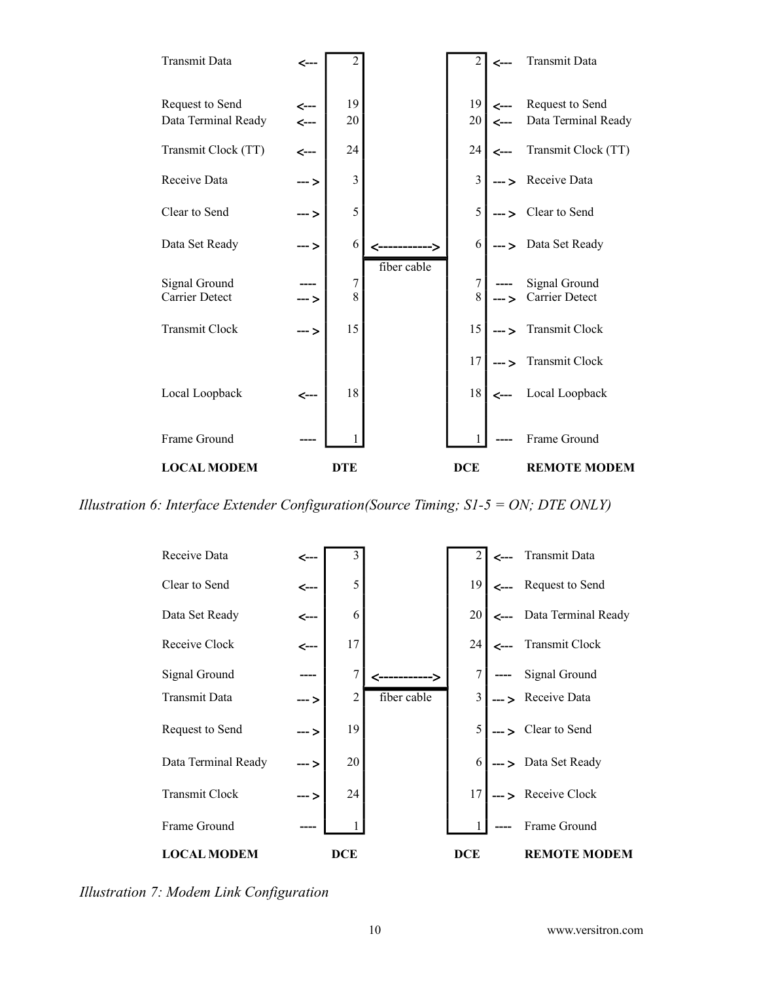

*Illustration 6: Interface Extender Configuration(Source Timing; S1-5 = ON; DTE ONLY)*



*Illustration 7: Modem Link Configuration*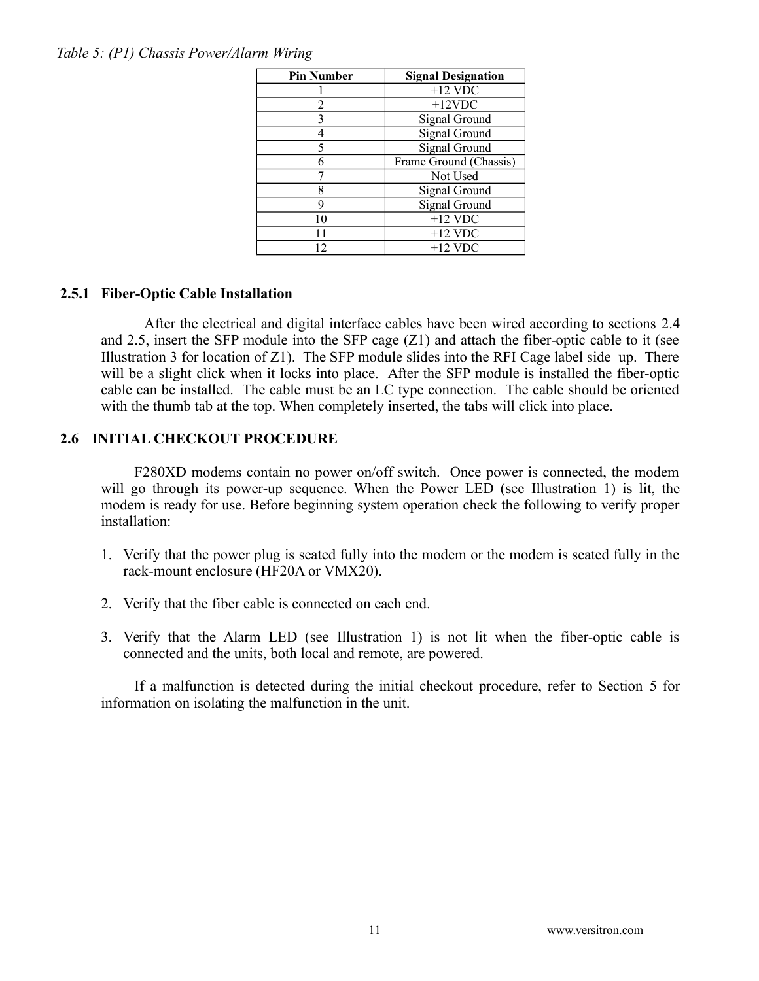<span id="page-10-1"></span>

| <b>Pin Number</b> | <b>Signal Designation</b> |
|-------------------|---------------------------|
|                   | $+12$ VDC                 |
| 2                 | $+12$ VDC                 |
| 3                 | Signal Ground             |
|                   | Signal Ground             |
|                   | Signal Ground             |
|                   | Frame Ground (Chassis)    |
|                   | Not Used                  |
| 8                 | Signal Ground             |
| q                 | Signal Ground             |
| 10                | $+12$ VDC                 |
| 11                | $+12$ VDC                 |
| 12                | $+12$ VDC                 |

# **2.5.1 Fiber-Optic Cable Installation**

After the electrical and digital interface cables have been wired according to sections [2.4](#page-6-1) and [2.5,](#page-7-0) insert the SFP module into the SFP cage (Z1) and attach the fiber-optic cable to it (see [Illustration 3](#page-6-0) for location of  $Z1$ ). The SFP module slides into the RFI Cage label side up. There will be a slight click when it locks into place. After the SFP module is installed the fiber-optic cable can be installed. The cable must be an LC type connection. The cable should be oriented with the thumb tab at the top. When completely inserted, the tabs will click into place.

# <span id="page-10-0"></span> **2.6 INITIAL CHECKOUT PROCEDURE**

F280XD modems contain no power on/off switch. Once power is connected, the modem will go through its power-up sequence. When the Power LED (see [Illustration 1\)](#page-2-2) is lit, the modem is ready for use. Before beginning system operation check the following to verify proper installation:

- 1. Verify that the power plug is seated fully into the modem or the modem is seated fully in the rack-mount enclosure (HF20A or VMX20).
- 2. Verify that the fiber cable is connected on each end.
- 3. Verify that the Alarm LED (see [Illustration 1\)](#page-2-2) is not lit when the fiber-optic cable is connected and the units, both local and remote, are powered.

If a malfunction is detected during the initial checkout procedure, refer to Section [5](#page-14-0) for information on isolating the malfunction in the unit.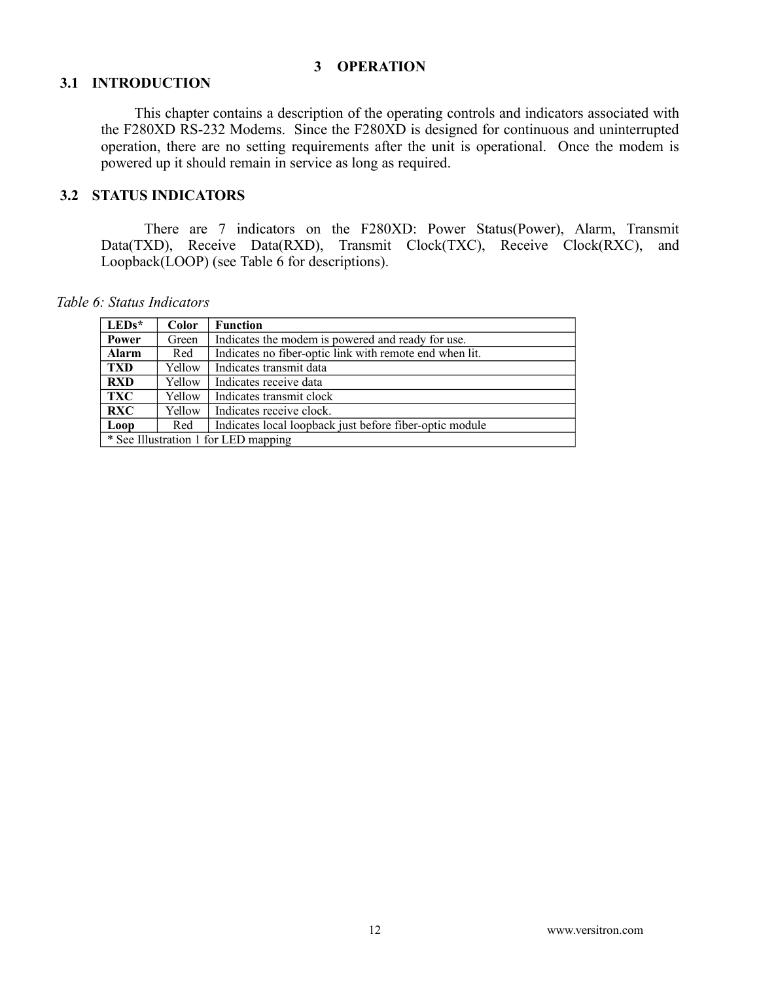#### <span id="page-11-0"></span> **3 OPERATION**

## **3.1 INTRODUCTION**

This chapter contains a description of the operating controls and indicators associated with the F280XD RS-232 Modems. Since the F280XD is designed for continuous and uninterrupted operation, there are no setting requirements after the unit is operational. Once the modem is powered up it should remain in service as long as required.

# **3.2 STATUS INDICATORS**

There are 7 indicators on the F280XD: Power Status(Power), Alarm, Transmit Data(TXD), Receive Data(RXD), Transmit Clock(TXC), Receive Clock(RXC), and Loopback(LOOP) (see [Table 6](#page-11-1) for descriptions).

*Table 6: Status Indicators*

<span id="page-11-1"></span>

| $LEDs^*$                             | Color  | <b>Function</b>                                         |  |
|--------------------------------------|--------|---------------------------------------------------------|--|
| Power                                | Green  | Indicates the modem is powered and ready for use.       |  |
| <b>Alarm</b>                         | Red    | Indicates no fiber-optic link with remote end when lit. |  |
| <b>TXD</b>                           | Yellow | Indicates transmit data                                 |  |
| <b>RXD</b>                           | Yellow | Indicates receive data                                  |  |
| TXC                                  | Yellow | Indicates transmit clock                                |  |
| <b>RXC</b>                           | Yellow | Indicates receive clock.                                |  |
| Loop                                 | Red    | Indicates local loopback just before fiber-optic module |  |
| * See Illustration 1 for LED mapping |        |                                                         |  |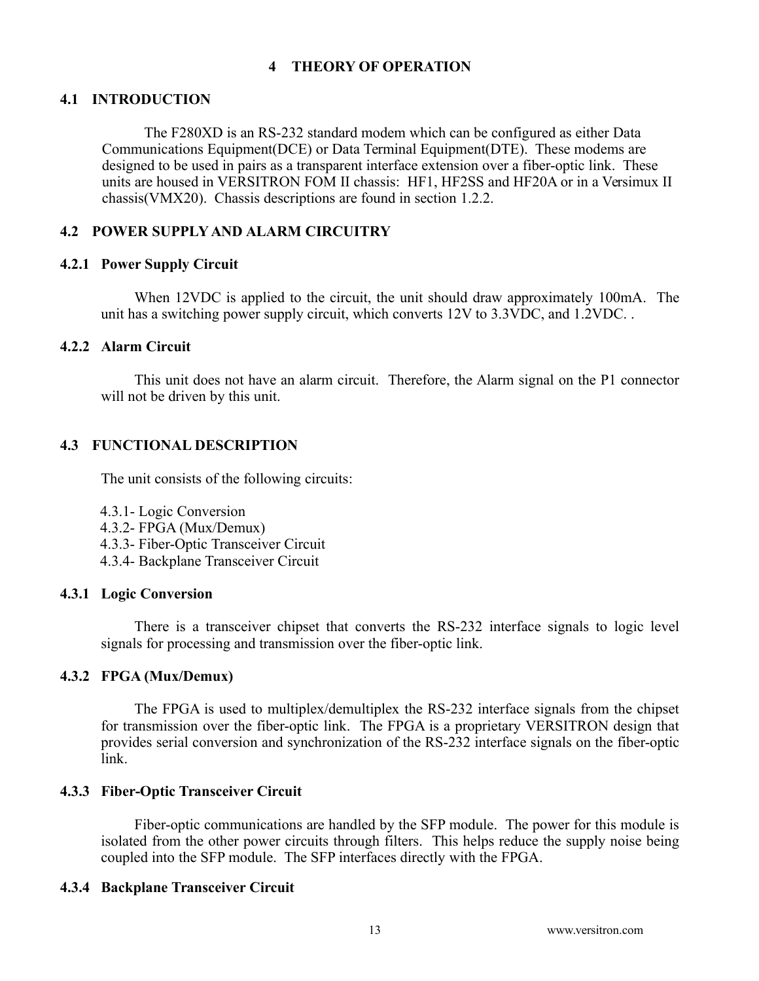# <span id="page-12-0"></span> **4 THEORY OF OPERATION**

## **4.1 INTRODUCTION**

The F280XD is an RS-232 standard modem which can be configured as either Data Communications Equipment(DCE) or Data Terminal Equipment(DTE). These modems are designed to be used in pairs as a transparent interface extension over a fiber-optic link. These units are housed in VERSITRON FOM II chassis: HF1, HF2SS and HF20A or in a Versimux II chassis(VMX20). Chassis descriptions are found in section [1.2.2.](#page-2-3)

# **4.2 POWER SUPPLY AND ALARM CIRCUITRY**

#### **4.2.1 Power Supply Circuit**

When 12VDC is applied to the circuit, the unit should draw approximately 100mA. The unit has a switching power supply circuit, which converts 12V to 3.3VDC, and 1.2VDC. .

## **4.2.2 Alarm Circuit**

This unit does not have an alarm circuit. Therefore, the Alarm signal on the P1 connector will not be driven by this unit.

## **4.3 FUNCTIONAL DESCRIPTION**

The unit consists of the following circuits:

- [4.3.1- Logic Conversion](#page-12-4)
- [4.3.2- FPGA \(Mux/Demux\)](#page-12-3)
- [4.3.3- Fiber-Optic Transceiver Circuit](#page-12-2)
- <span id="page-12-4"></span>[4.3.4- Backplane Transceiver Circuit](#page-12-1)

## **4.3.1 Logic Conversion**

There is a transceiver chipset that converts the RS-232 interface signals to logic level signals for processing and transmission over the fiber-optic link.

## **4.3.2 FPGA (Mux/Demux)**

<span id="page-12-3"></span>The FPGA is used to multiplex/demultiplex the RS-232 interface signals from the chipset for transmission over the fiber-optic link. The FPGA is a proprietary VERSITRON design that provides serial conversion and synchronization of the RS-232 interface signals on the fiber-optic link.

## **4.3.3 Fiber-Optic Transceiver Circuit**

<span id="page-12-2"></span>Fiber-optic communications are handled by the SFP module. The power for this module is isolated from the other power circuits through filters. This helps reduce the supply noise being coupled into the SFP module. The SFP interfaces directly with the FPGA.

## <span id="page-12-1"></span> **4.3.4 Backplane Transceiver Circuit**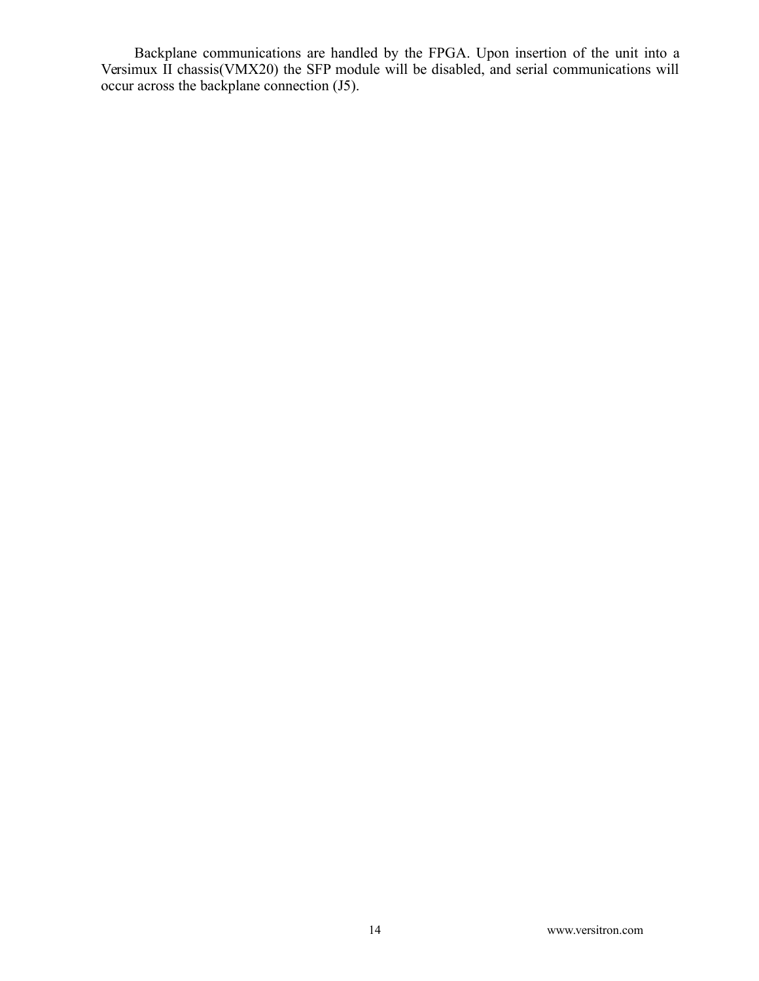Backplane communications are handled by the FPGA. Upon insertion of the unit into a Versimux II chassis(VMX20) the SFP module will be disabled, and serial communications will occur across the backplane connection (J5).